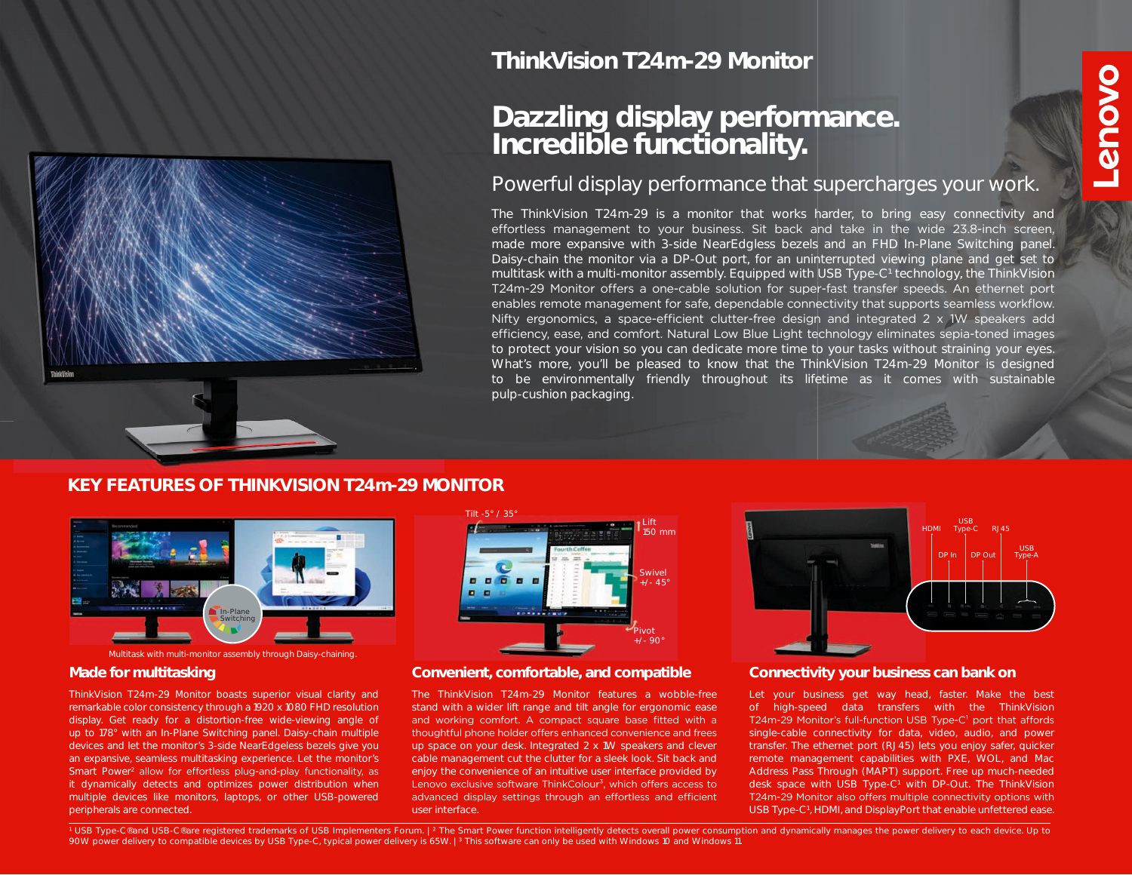

# **ThinkVision T24m-29 Monitor**

# **Dazzling display performance. Incredible functionality.**

## Powerful display performance that supercharges your work.

The ThinkVision T24m-29 is a monitor that works harder, to bring easy connectivity and effortless management to your business. Sit back and take in the wide 23.8-inch screen, made more expansive with 3-side NearEdgless bezels and an FHD In-Plane Switching panel. Daisy-chain the monitor via a DP-Out port, for an uninterrupted viewing plane and get set to multitask with a multi-monitor assembly. Equipped with USB Type-C<sup>1</sup> technology, the ThinkVision T24m-29 Monitor offers a one-cable solution for super-fast transfer speeds. An ethernet port enables remote management for safe, dependable connectivity that supports seamless workflow. Nifty ergonomics, a space-efficient clutter-free design and integrated 2 x 1W speakers add efficiency, ease, and comfort. Natural Low Blue Light technology eliminates sepia-toned images to protect your vision so you can dedicate more time to your tasks without straining your eyes. What's more, you'll be pleased to know that the ThinkVision T24m-29 Monitor is designed to be environmentally friendly throughout its lifetime as it comes with sustainable pulp-cushion packaging.

#### **KEY FEATURES OF THINKVISION T24m-29 MONITOR**



Multitask with multi-monitor assembly through Daisy-chaining.

ThinkVision T24m-29 Monitor boasts superior visual clarity and remarkable color consistency through a 1920 x 1080 FHD resolution display. Get ready for a distortion-free wide-viewing angle of up to 178° with an In-Plane Switching panel. Daisy-chain multiple devices and let the monitor's 3-side NearEdgeless bezels give you an expansive, seamless multitasking experience. Let the monitor's Smart Power<sup>2</sup> allow for effortless plug-and-play functionality, as it dynamically detects and optimizes power distribution when multiple devices like monitors, laptops, or other USB-powered peripherals are connected.



#### **Made for multitasking Convenient, comfortable, and compatible**

The ThinkVision T24m-29 Monitor features a wobble-free stand with a wider lift range and tilt angle for ergonomic ease and working comfort. A compact square base fitted with a thoughtful phone holder offers enhanced convenience and frees up space on your desk. Integrated 2 x 1W speakers and clever cable management cut the clutter for a sleek look. Sit back and enjoy the convenience of an intuitive user interface provided by Lenovo exclusive software ThinkColour<sup>3</sup>, which offers access to advanced display settings through an effortless and efficient user interface.



**Connectivity your business can bank on**

Let your business get way head, faster. Make the best of high-speed data transfers with the ThinkVision T24m-29 Monitor's full-function USB Type-C<sup>1</sup> port that affords single-cable connectivity for data, video, audio, and power transfer. The ethernet port (RJ45) lets you enjoy safer, quicker remote management capabilities with PXE, WOL, and Mac Address Pass Through (MAPT) support. Free up much-needed desk space with USB Type-C<sup>1</sup> with DP-Out. The ThinkVision T24m-29 Monitor also offers multiple connectivity options with USB Type-C<sup>1</sup>, HDMI, and DisplayPort that enable unfettered ease.

<sup>1</sup> USB Type-C® and USB-C® are registered trademarks of USB Implementers Forum. | <sup>2</sup> The Smart Power function intelligently detects overall power consumption and dynamically manages the power delivery to each device. Up t 90W power delivery to compatible devices by USB Type-C, typical power delivery is 65W. | 3 This software can only be used with Windows 10 and Windows 11.